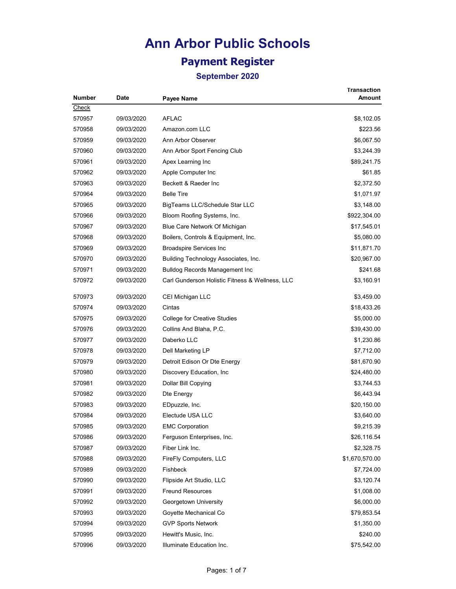## **Ann Arbor Public Schools Payment Register**

| Number | Date       | Payee Name                                      | <b>Transaction</b><br>Amount |
|--------|------------|-------------------------------------------------|------------------------------|
| Check  |            |                                                 |                              |
| 570957 | 09/03/2020 | <b>AFLAC</b>                                    | \$8,102.05                   |
| 570958 | 09/03/2020 | Amazon.com LLC                                  | \$223.56                     |
| 570959 | 09/03/2020 | Ann Arbor Observer                              | \$6,067.50                   |
| 570960 | 09/03/2020 | Ann Arbor Sport Fencing Club                    | \$3,244.39                   |
| 570961 | 09/03/2020 | Apex Learning Inc                               | \$89,241.75                  |
| 570962 | 09/03/2020 | Apple Computer Inc                              | \$61.85                      |
| 570963 | 09/03/2020 | Beckett & Raeder Inc                            | \$2,372.50                   |
| 570964 | 09/03/2020 | <b>Belle Tire</b>                               | \$1,071.97                   |
| 570965 | 09/03/2020 | BigTeams LLC/Schedule Star LLC                  | \$3,148.00                   |
| 570966 | 09/03/2020 | Bloom Roofing Systems, Inc.                     | \$922,304.00                 |
| 570967 | 09/03/2020 | Blue Care Network Of Michigan                   | \$17,545.01                  |
| 570968 | 09/03/2020 | Boilers, Controls & Equipment, Inc.             | \$5,080.00                   |
| 570969 | 09/03/2020 | <b>Broadspire Services Inc</b>                  | \$11,871.70                  |
| 570970 | 09/03/2020 | Building Technology Associates, Inc.            | \$20,967.00                  |
| 570971 | 09/03/2020 | <b>Bulldog Records Management Inc</b>           | \$241.68                     |
| 570972 | 09/03/2020 | Carl Gunderson Holistic Fitness & Wellness, LLC | \$3,160.91                   |
| 570973 | 09/03/2020 | CEI Michigan LLC                                | \$3,459.00                   |
| 570974 | 09/03/2020 | Cintas                                          | \$18,433.26                  |
| 570975 | 09/03/2020 | <b>College for Creative Studies</b>             | \$5,000.00                   |
| 570976 | 09/03/2020 | Collins And Blaha, P.C.                         | \$39,430.00                  |
| 570977 | 09/03/2020 | Daberko LLC                                     | \$1,230.86                   |
| 570978 | 09/03/2020 | Dell Marketing LP                               | \$7,712.00                   |
| 570979 | 09/03/2020 | Detroit Edison Or Dte Energy                    | \$81,670.90                  |
| 570980 | 09/03/2020 | Discovery Education, Inc.                       | \$24,480.00                  |
| 570981 | 09/03/2020 | Dollar Bill Copying                             | \$3,744.53                   |
| 570982 | 09/03/2020 | Dte Energy                                      | \$6,443.94                   |
| 570983 | 09/03/2020 | EDpuzzle, Inc.                                  | \$20,150.00                  |
| 570984 | 09/03/2020 | Electude USA LLC                                | \$3,640.00                   |
| 570985 | 09/03/2020 | <b>EMC Corporation</b>                          | \$9,215.39                   |
| 570986 | 09/03/2020 | Ferguson Enterprises, Inc.                      | \$26,116.54                  |
| 570987 | 09/03/2020 | Fiber Link Inc.                                 | \$2,328.75                   |
| 570988 | 09/03/2020 | FireFly Computers, LLC                          | \$1,670,570.00               |
| 570989 | 09/03/2020 | Fishbeck                                        | \$7,724.00                   |
| 570990 | 09/03/2020 | Flipside Art Studio, LLC                        | \$3,120.74                   |
| 570991 | 09/03/2020 | <b>Freund Resources</b>                         | \$1,008.00                   |
| 570992 | 09/03/2020 | Georgetown University                           | \$6,000.00                   |
| 570993 | 09/03/2020 | Goyette Mechanical Co                           | \$79,853.54                  |
| 570994 | 09/03/2020 | <b>GVP Sports Network</b>                       | \$1,350.00                   |
| 570995 | 09/03/2020 | Hewitt's Music, Inc.                            | \$240.00                     |
| 570996 | 09/03/2020 | Illuminate Education Inc.                       | \$75,542.00                  |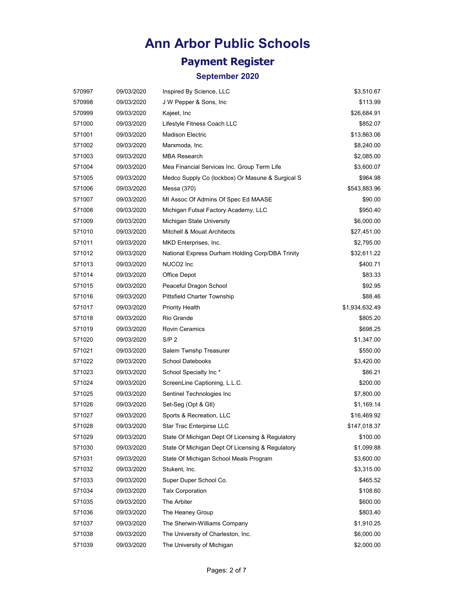## **Payment Register**

| 570997 | 09/03/2020 | Inspired By Science, LLC                         | \$3,510.67     |
|--------|------------|--------------------------------------------------|----------------|
| 570998 | 09/03/2020 | J W Pepper & Sons, Inc.                          | \$113.99       |
| 570999 | 09/03/2020 | Kajeet, Inc                                      | \$26,684.91    |
| 571000 | 09/03/2020 | Lifestyle Fitness Coach LLC                      | \$852.07       |
| 571001 | 09/03/2020 | <b>Madison Electric</b>                          | \$13,863.06    |
| 571002 | 09/03/2020 | Marxmoda, Inc.                                   | \$8,240.00     |
| 571003 | 09/03/2020 | <b>MBA Research</b>                              | \$2,085.00     |
| 571004 | 09/03/2020 | Mea Financial Services Inc. Group Term Life      | \$3,600.07     |
| 571005 | 09/03/2020 | Medco Supply Co (lockbox) Or Masune & Surgical S | \$964.98       |
| 571006 | 09/03/2020 | Messa (370)                                      | \$543,883.96   |
| 571007 | 09/03/2020 | MI Assoc Of Admins Of Spec Ed MAASE              | \$90.00        |
| 571008 | 09/03/2020 | Michigan Futsal Factory Academy, LLC             | \$950.40       |
| 571009 | 09/03/2020 | Michigan State University                        | \$6,000.00     |
| 571010 | 09/03/2020 | Mitchell & Mouat Architects                      | \$27,451.00    |
| 571011 | 09/03/2020 | MKD Enterprises, Inc.                            | \$2,795.00     |
| 571012 | 09/03/2020 | National Express Durham Holding Corp/DBA Trinity | \$32,611.22    |
| 571013 | 09/03/2020 | NUCO <sub>2</sub> Inc                            | \$400.71       |
| 571014 | 09/03/2020 | Office Depot                                     | \$83.33        |
| 571015 | 09/03/2020 | Peaceful Dragon School                           | \$92.95        |
| 571016 | 09/03/2020 | <b>Pittsfield Charter Township</b>               | \$88.46        |
| 571017 | 09/03/2020 | Priority Health                                  | \$1,934,632.49 |
| 571018 | 09/03/2020 | Rio Grande                                       | \$805.20       |
| 571019 | 09/03/2020 | <b>Rovin Ceramics</b>                            | \$698.25       |
| 571020 | 09/03/2020 | S/P <sub>2</sub>                                 | \$1,347.00     |
| 571021 | 09/03/2020 | Salem Twnshp Treasurer                           | \$550.00       |
| 571022 | 09/03/2020 | School Datebooks                                 | \$3,420.00     |
| 571023 | 09/03/2020 | School Specialty Inc*                            | \$86.21        |
| 571024 | 09/03/2020 | ScreenLine Captioning, L.L.C.                    | \$200.00       |
| 571025 | 09/03/2020 | Sentinel Technologies Inc                        | \$7,800.00     |
| 571026 | 09/03/2020 | Set-Seg (Opt & Gtl)                              | \$1,169.14     |
| 571027 | 09/03/2020 | Sports & Recreation, LLC                         | \$16,469.92    |
| 571028 | 09/03/2020 | Star Trac Enterpirse LLC                         | \$147,018.37   |
| 571029 | 09/03/2020 | State Of Michigan Dept Of Licensing & Regulatory | \$100.00       |
| 571030 | 09/03/2020 | State Of Michigan Dept Of Licensing & Regulatory | \$1,099.88     |
| 571031 | 09/03/2020 | State Of Michigan School Meals Program           | \$3,600.00     |
| 571032 | 09/03/2020 | Stukent, Inc.                                    | \$3,315.00     |
| 571033 | 09/03/2020 | Super Duper School Co.                           | \$465.52       |
| 571034 | 09/03/2020 | <b>Talx Corporation</b>                          | \$108.60       |
| 571035 | 09/03/2020 | The Arbiter                                      | \$600.00       |
| 571036 | 09/03/2020 | The Heaney Group                                 | \$803.40       |
| 571037 | 09/03/2020 | The Sherwin-Williams Company                     | \$1,910.25     |
| 571038 | 09/03/2020 | The University of Charleston, Inc.               | \$6,000.00     |
| 571039 | 09/03/2020 | The University of Michigan                       | \$2,000.00     |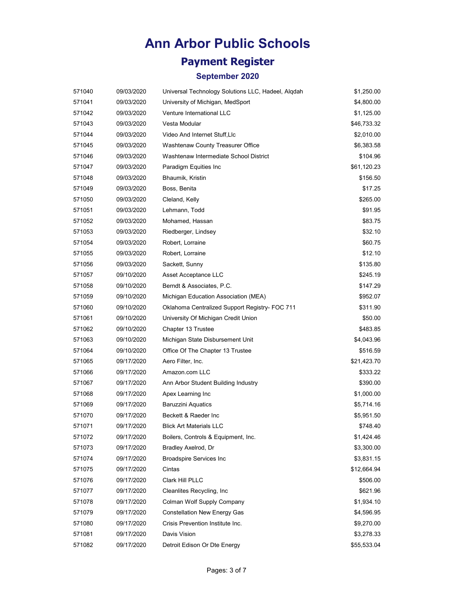## **Payment Register**

| 571040 | 09/03/2020 | Universal Technology Solutions LLC, Hadeel, Alqdah | \$1,250.00  |
|--------|------------|----------------------------------------------------|-------------|
| 571041 | 09/03/2020 | University of Michigan, MedSport                   | \$4,800.00  |
| 571042 | 09/03/2020 | Venture International LLC                          | \$1,125.00  |
| 571043 | 09/03/2020 | Vesta Modular                                      | \$46,733.32 |
| 571044 | 09/03/2020 | Video And Internet Stuff, Llc                      | \$2,010.00  |
| 571045 | 09/03/2020 | Washtenaw County Treasurer Office                  | \$6,383.58  |
| 571046 | 09/03/2020 | Washtenaw Intermediate School District             | \$104.96    |
| 571047 | 09/03/2020 | Paradigm Equities Inc                              | \$61,120.23 |
| 571048 | 09/03/2020 | Bhaumik, Kristin                                   | \$156.50    |
| 571049 | 09/03/2020 | Boss, Benita                                       | \$17.25     |
| 571050 | 09/03/2020 | Cleland, Kelly                                     | \$265.00    |
| 571051 | 09/03/2020 | Lehmann, Todd                                      | \$91.95     |
| 571052 | 09/03/2020 | Mohamed, Hassan                                    | \$83.75     |
| 571053 | 09/03/2020 | Riedberger, Lindsey                                | \$32.10     |
| 571054 | 09/03/2020 | Robert, Lorraine                                   | \$60.75     |
| 571055 | 09/03/2020 | Robert, Lorraine                                   | \$12.10     |
| 571056 | 09/03/2020 | Sackett, Sunny                                     | \$135.80    |
| 571057 | 09/10/2020 | Asset Acceptance LLC                               | \$245.19    |
| 571058 | 09/10/2020 | Berndt & Associates, P.C.                          | \$147.29    |
| 571059 | 09/10/2020 | Michigan Education Association (MEA)               | \$952.07    |
| 571060 | 09/10/2020 | Oklahoma Centralized Support Registry- FOC 711     | \$311.90    |
| 571061 | 09/10/2020 | University Of Michigan Credit Union                | \$50.00     |
| 571062 | 09/10/2020 | Chapter 13 Trustee                                 | \$483.85    |
| 571063 | 09/10/2020 | Michigan State Disbursement Unit                   | \$4,043.96  |
| 571064 | 09/10/2020 | Office Of The Chapter 13 Trustee                   | \$516.59    |
| 571065 | 09/17/2020 | Aero Filter, Inc.                                  | \$21,423.70 |
| 571066 | 09/17/2020 | Amazon.com LLC                                     | \$333.22    |
| 571067 | 09/17/2020 | Ann Arbor Student Building Industry                | \$390.00    |
| 571068 | 09/17/2020 | Apex Learning Inc                                  | \$1,000.00  |
| 571069 | 09/17/2020 | <b>Baruzzini Aquatics</b>                          | \$5,714.16  |
| 571070 | 09/17/2020 | Beckett & Raeder Inc                               | \$5,951.50  |
| 571071 | 09/17/2020 | <b>Blick Art Materials LLC</b>                     | \$748.40    |
| 571072 | 09/17/2020 | Boilers, Controls & Equipment, Inc.                | \$1,424.46  |
| 571073 | 09/17/2020 | Bradley Axelrod, Dr                                | \$3,300.00  |
| 571074 | 09/17/2020 | <b>Broadspire Services Inc</b>                     | \$3,831.15  |
| 571075 | 09/17/2020 | Cintas                                             | \$12,664.94 |
| 571076 | 09/17/2020 | Clark Hill PLLC                                    | \$506.00    |
| 571077 | 09/17/2020 | Cleanlites Recycling, Inc                          | \$621.96    |
| 571078 | 09/17/2020 | Colman Wolf Supply Company                         | \$1,934.10  |
| 571079 | 09/17/2020 | <b>Constellation New Energy Gas</b>                | \$4,596.95  |
| 571080 | 09/17/2020 | Crisis Prevention Institute Inc.                   | \$9,270.00  |
| 571081 | 09/17/2020 | Davis Vision                                       | \$3,278.33  |
| 571082 | 09/17/2020 | Detroit Edison Or Dte Energy                       | \$55,533.04 |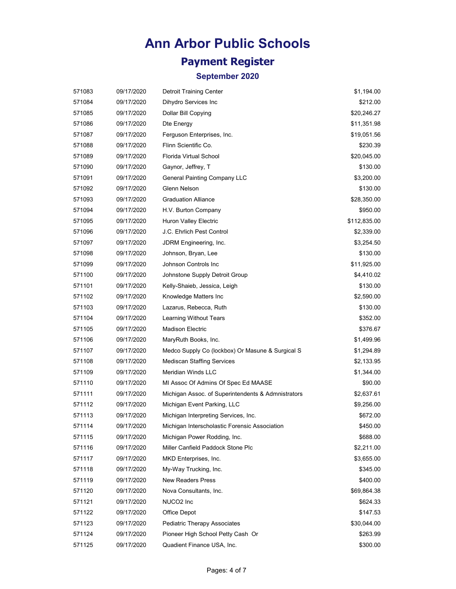## **Payment Register**

| 571083 | 09/17/2020 | <b>Detroit Training Center</b>                     | \$1,194.00   |
|--------|------------|----------------------------------------------------|--------------|
| 571084 | 09/17/2020 | Dihydro Services Inc                               | \$212.00     |
| 571085 | 09/17/2020 | Dollar Bill Copying                                | \$20,246.27  |
| 571086 | 09/17/2020 | Dte Energy                                         | \$11,351.98  |
| 571087 | 09/17/2020 | Ferguson Enterprises, Inc.                         | \$19,051.56  |
| 571088 | 09/17/2020 | Flinn Scientific Co.                               | \$230.39     |
| 571089 | 09/17/2020 | Florida Virtual School                             | \$20,045.00  |
| 571090 | 09/17/2020 | Gaynor, Jeffrey, T                                 | \$130.00     |
| 571091 | 09/17/2020 | <b>General Painting Company LLC</b>                | \$3,200.00   |
| 571092 | 09/17/2020 | Glenn Nelson                                       | \$130.00     |
| 571093 | 09/17/2020 | <b>Graduation Alliance</b>                         | \$28,350.00  |
| 571094 | 09/17/2020 | H.V. Burton Company                                | \$950.00     |
| 571095 | 09/17/2020 | Huron Valley Electric                              | \$112,835.00 |
| 571096 | 09/17/2020 | J.C. Ehrlich Pest Control                          | \$2,339.00   |
| 571097 | 09/17/2020 | JDRM Engineering, Inc.                             | \$3,254.50   |
| 571098 | 09/17/2020 | Johnson, Bryan, Lee                                | \$130.00     |
| 571099 | 09/17/2020 | Johnson Controls Inc                               | \$11,925.00  |
| 571100 | 09/17/2020 | Johnstone Supply Detroit Group                     | \$4,410.02   |
| 571101 | 09/17/2020 | Kelly-Shaieb, Jessica, Leigh                       | \$130.00     |
| 571102 | 09/17/2020 | Knowledge Matters Inc                              | \$2,590.00   |
| 571103 | 09/17/2020 | Lazarus, Rebecca, Ruth                             | \$130.00     |
| 571104 | 09/17/2020 | Learning Without Tears                             | \$352.00     |
| 571105 | 09/17/2020 | <b>Madison Electric</b>                            | \$376.67     |
| 571106 | 09/17/2020 | MaryRuth Books, Inc.                               | \$1,499.96   |
| 571107 | 09/17/2020 | Medco Supply Co (lockbox) Or Masune & Surgical S   | \$1,294.89   |
| 571108 | 09/17/2020 | <b>Mediscan Staffing Services</b>                  | \$2,133.95   |
| 571109 | 09/17/2020 | Meridian Winds LLC                                 | \$1,344.00   |
| 571110 | 09/17/2020 | MI Assoc Of Admins Of Spec Ed MAASE                | \$90.00      |
| 571111 | 09/17/2020 | Michigan Assoc. of Superintendents & Admnistrators | \$2,637.61   |
| 571112 | 09/17/2020 | Michigan Event Parking, LLC                        | \$9,256.00   |
| 571113 | 09/17/2020 | Michigan Interpreting Services, Inc.               | \$672.00     |
| 571114 | 09/17/2020 | Michigan Interscholastic Forensic Association      | \$450.00     |
| 571115 | 09/17/2020 | Michigan Power Rodding, Inc.                       | \$688.00     |
| 571116 | 09/17/2020 | Miller Canfield Paddock Stone Plc                  | \$2,211.00   |
| 571117 | 09/17/2020 | MKD Enterprises, Inc.                              | \$3,655.00   |
| 571118 | 09/17/2020 | My-Way Trucking, Inc.                              | \$345.00     |
| 571119 | 09/17/2020 | <b>New Readers Press</b>                           | \$400.00     |
| 571120 | 09/17/2020 | Nova Consultants, Inc.                             | \$69,864.38  |
| 571121 | 09/17/2020 | NUCO <sub>2</sub> Inc                              | \$624.33     |
| 571122 | 09/17/2020 | Office Depot                                       | \$147.53     |
| 571123 | 09/17/2020 | Pediatric Therapy Associates                       | \$30,044.00  |
| 571124 | 09/17/2020 | Pioneer High School Petty Cash Or                  | \$263.99     |
| 571125 | 09/17/2020 | Quadient Finance USA, Inc.                         | \$300.00     |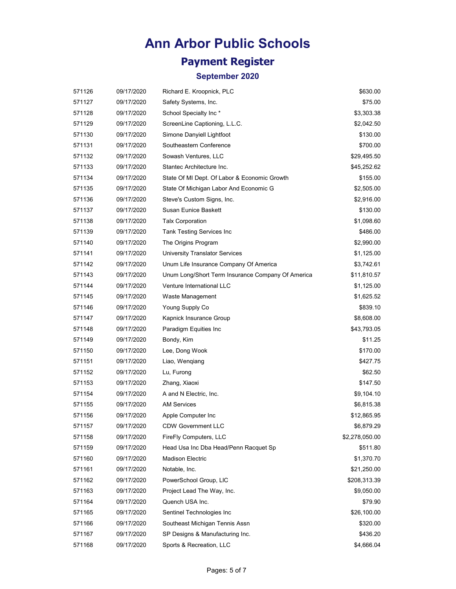## **Payment Register**

| 571126 | 09/17/2020 | Richard E. Kroopnick, PLC                         | \$630.00       |
|--------|------------|---------------------------------------------------|----------------|
| 571127 | 09/17/2020 | Safety Systems, Inc.                              | \$75.00        |
| 571128 | 09/17/2020 | School Specialty Inc*                             | \$3,303.38     |
| 571129 | 09/17/2020 | ScreenLine Captioning, L.L.C.                     | \$2,042.50     |
| 571130 | 09/17/2020 | Simone Danyiell Lightfoot                         | \$130.00       |
| 571131 | 09/17/2020 | Southeastern Conference                           | \$700.00       |
| 571132 | 09/17/2020 | Sowash Ventures, LLC                              | \$29,495.50    |
| 571133 | 09/17/2020 | Stantec Architecture Inc.                         | \$45,252.62    |
| 571134 | 09/17/2020 | State Of MI Dept. Of Labor & Economic Growth      | \$155.00       |
| 571135 | 09/17/2020 | State Of Michigan Labor And Economic G            | \$2,505.00     |
| 571136 | 09/17/2020 | Steve's Custom Signs, Inc.                        | \$2,916.00     |
| 571137 | 09/17/2020 | Susan Eunice Baskett                              | \$130.00       |
| 571138 | 09/17/2020 | <b>Talx Corporation</b>                           | \$1,098.60     |
| 571139 | 09/17/2020 | Tank Testing Services Inc                         | \$486.00       |
| 571140 | 09/17/2020 | The Origins Program                               | \$2,990.00     |
| 571141 | 09/17/2020 | <b>University Translator Services</b>             | \$1,125.00     |
| 571142 | 09/17/2020 | Unum Life Insurance Company Of America            | \$3,742.61     |
| 571143 | 09/17/2020 | Unum Long/Short Term Insurance Company Of America | \$11,810.57    |
| 571144 | 09/17/2020 | Venture International LLC                         | \$1,125.00     |
| 571145 | 09/17/2020 | Waste Management                                  | \$1,625.52     |
| 571146 | 09/17/2020 | Young Supply Co                                   | \$839.10       |
| 571147 | 09/17/2020 | Kapnick Insurance Group                           | \$8,608.00     |
| 571148 | 09/17/2020 | Paradigm Equities Inc                             | \$43,793.05    |
| 571149 | 09/17/2020 | Bondy, Kim                                        | \$11.25        |
| 571150 | 09/17/2020 | Lee, Dong Wook                                    | \$170.00       |
| 571151 | 09/17/2020 | Liao, Wengiang                                    | \$427.75       |
| 571152 | 09/17/2020 | Lu, Furong                                        | \$62.50        |
| 571153 | 09/17/2020 | Zhang, Xiaoxi                                     | \$147.50       |
| 571154 | 09/17/2020 | A and N Electric, Inc.                            | \$9,104.10     |
| 571155 | 09/17/2020 | <b>AM Services</b>                                | \$6,815.38     |
| 571156 | 09/17/2020 | Apple Computer Inc                                | \$12,865.95    |
| 571157 | 09/17/2020 | <b>CDW Government LLC</b>                         | \$6,879.29     |
| 571158 | 09/17/2020 | FireFly Computers, LLC                            | \$2,278,050.00 |
| 571159 | 09/17/2020 | Head Usa Inc Dba Head/Penn Racquet Sp             | \$511.80       |
| 571160 | 09/17/2020 | <b>Madison Electric</b>                           | \$1,370.70     |
| 571161 | 09/17/2020 | Notable, Inc.                                     | \$21,250.00    |
| 571162 | 09/17/2020 | PowerSchool Group, LIC                            | \$208,313.39   |
| 571163 | 09/17/2020 | Project Lead The Way, Inc.                        | \$9,050.00     |
| 571164 | 09/17/2020 | Quench USA Inc.                                   | \$79.90        |
| 571165 | 09/17/2020 | Sentinel Technologies Inc                         | \$26,100.00    |
| 571166 | 09/17/2020 | Southeast Michigan Tennis Assn                    | \$320.00       |
| 571167 | 09/17/2020 | SP Designs & Manufacturing Inc.                   | \$436.20       |
| 571168 | 09/17/2020 | Sports & Recreation, LLC                          | \$4,666.04     |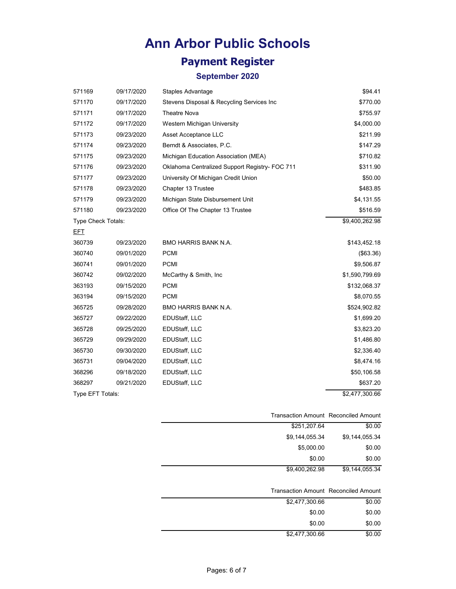## **Payment Register**

| 571169             | 09/17/2020 | Staples Advantage                              | \$94.41        |
|--------------------|------------|------------------------------------------------|----------------|
| 571170             | 09/17/2020 | Stevens Disposal & Recycling Services Inc      | \$770.00       |
| 571171             | 09/17/2020 | <b>Theatre Nova</b>                            | \$755.97       |
| 571172             | 09/17/2020 | Western Michigan University                    | \$4,000.00     |
| 571173             | 09/23/2020 | Asset Acceptance LLC                           | \$211.99       |
| 571174             | 09/23/2020 | Berndt & Associates, P.C.                      | \$147.29       |
| 571175             | 09/23/2020 | Michigan Education Association (MEA)           | \$710.82       |
| 571176             | 09/23/2020 | Oklahoma Centralized Support Registry- FOC 711 | \$311.90       |
| 571177             | 09/23/2020 | University Of Michigan Credit Union            | \$50.00        |
| 571178             | 09/23/2020 | Chapter 13 Trustee                             | \$483.85       |
| 571179             | 09/23/2020 | Michigan State Disbursement Unit               | \$4,131.55     |
| 571180             | 09/23/2020 | Office Of The Chapter 13 Trustee               | \$516.59       |
| Type Check Totals: |            |                                                | \$9,400,262.98 |
| EFT                |            |                                                |                |
| 360739             | 09/23/2020 | <b>BMO HARRIS BANK N.A.</b>                    | \$143,452.18   |
| 360740             | 09/01/2020 | <b>PCMI</b>                                    | (\$63.36)      |
| 360741             | 09/01/2020 | <b>PCMI</b>                                    | \$9,506.87     |
| 360742             | 09/02/2020 | McCarthy & Smith, Inc.                         | \$1,590,799.69 |
| 363193             | 09/15/2020 | <b>PCMI</b>                                    | \$132,068.37   |
| 363194             | 09/15/2020 | <b>PCMI</b>                                    | \$8,070.55     |
| 365725             | 09/28/2020 | BMO HARRIS BANK N.A.                           | \$524,902.82   |
| 365727             | 09/22/2020 | EDUStaff, LLC                                  | \$1,699.20     |
| 365728             | 09/25/2020 | EDUStaff, LLC                                  | \$3,823.20     |
| 365729             | 09/29/2020 | EDUStaff, LLC                                  | \$1,486.80     |
| 365730             | 09/30/2020 | EDUStaff, LLC                                  | \$2,336.40     |
| 365731             | 09/04/2020 | EDUStaff, LLC                                  | \$8,474.16     |
| 368296             | 09/18/2020 | EDUStaff, LLC                                  | \$50,106.58    |
| 368297             | 09/21/2020 | EDUStaff, LLC                                  | \$637.20       |
| Type EFT Totals:   |            |                                                | \$2,477,300.66 |

| <b>Transaction Amount Reconciled Amount</b> |                |
|---------------------------------------------|----------------|
| \$251,207.64                                | \$0.00         |
| \$9,144,055.34                              | \$9,144,055.34 |
| \$5,000.00                                  | \$0.00         |
| \$0.00                                      | \$0.00         |
| \$9,400,262.98                              | \$9,144,055.34 |
|                                             |                |

| <b>Transaction Amount Reconciled Amount</b> |        |
|---------------------------------------------|--------|
| \$2,477,300.66                              | \$0.00 |
| \$0.00                                      | \$0.00 |
| \$0.00                                      | \$0.00 |
| \$2,477,300.66                              | \$0.00 |